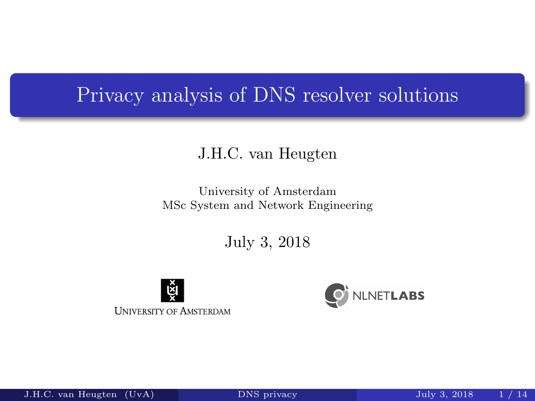### <span id="page-0-0"></span>Privacy analysis of DNS resolver solutions

#### J.H.C. van Heugten

#### University of Amsterdam MSc System and Network Engineering

July 3, 2018





J.H.C. van Heugten (Uv[A\)](#page-13-0) DNS privacy July 3, 2018 1 / 14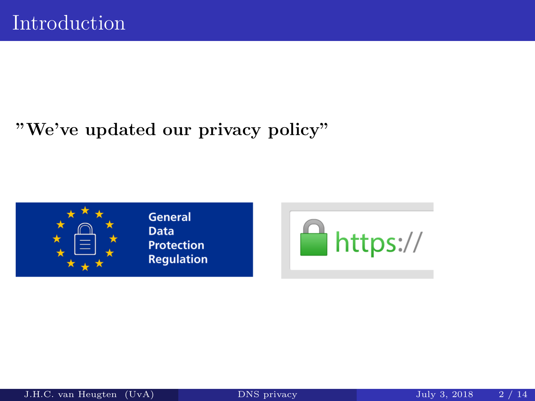### "We've updated our privacy policy"



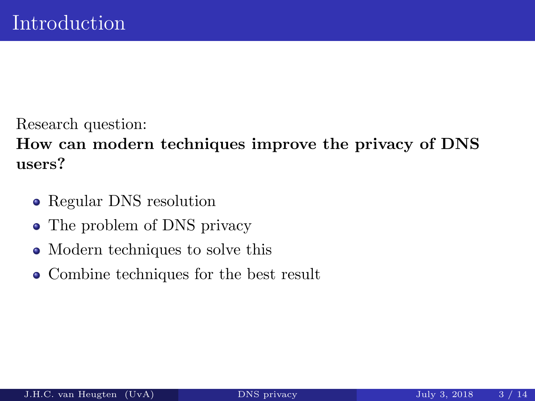Research question:

How can modern techniques improve the privacy of DNS users?

- Regular DNS resolution
- The problem of DNS privacy
- Modern techniques to solve this
- Combine techniques for the best result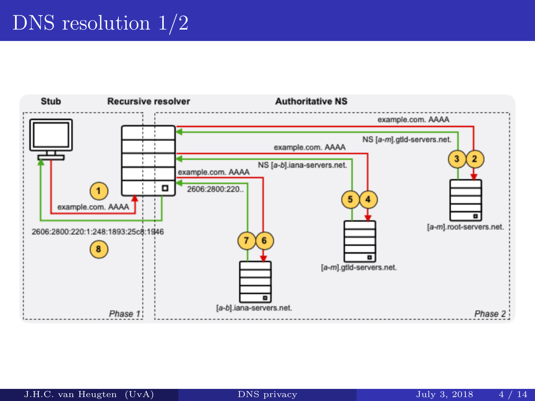# DNS resolution  $1/2$

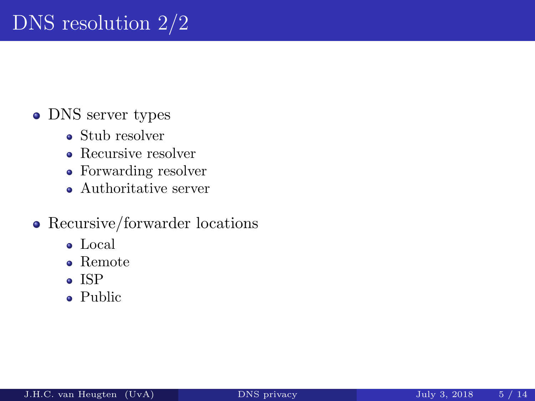# DNS resolution 2/2

#### • DNS server types

- Stub resolver
- Recursive resolver
- Forwarding resolver
- Authoritative server

#### • Recursive/forwarder locations

- Local
- Remote
- ISP
- Public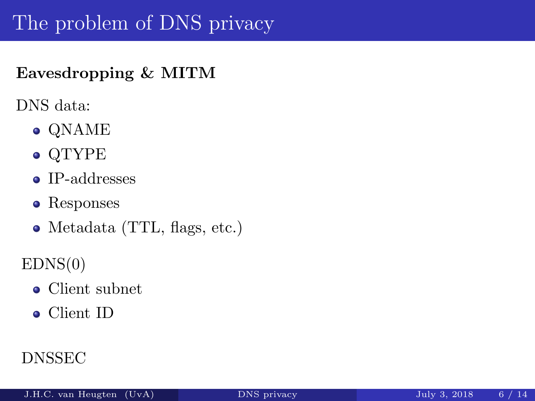# The problem of DNS privacy

#### Eavesdropping & MITM

DNS data:

- QNAME
- QTYPE
- IP-addresses
- Responses
- Metadata (TTL, flags, etc.)

 $EDNS(0)$ 

- Client subnet
- Client ID

### DNSSEC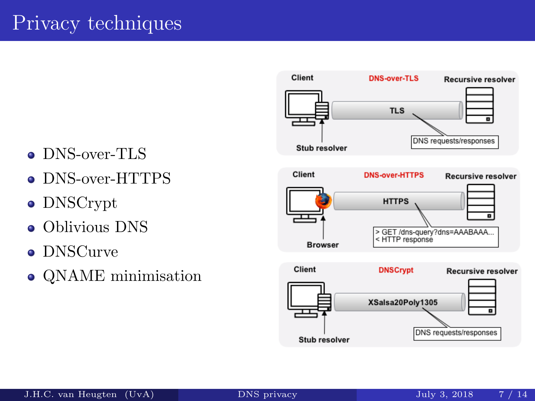

- DNS-over-TLS
- DNS-over-HTTPS
- DNSCrypt
- Oblivious DNS  $\bullet$
- DNSCurve
- QNAME minimisation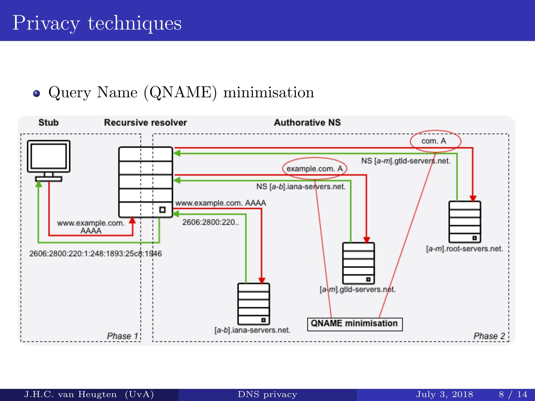#### Query Name (QNAME) minimisation

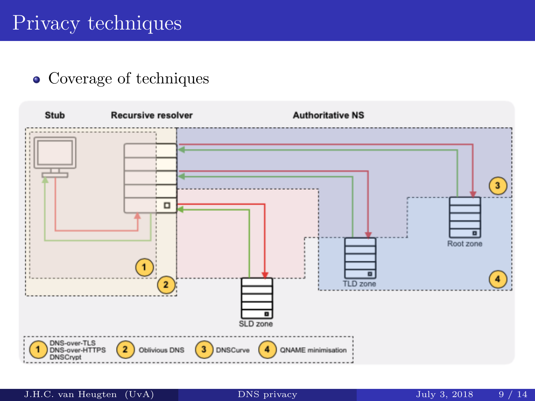## Privacy techniques

#### Coverage of techniques



J.H.C. van Heugten (Uv[A\)](#page-0-0) DNS privacy July 3, 2018 9 / 14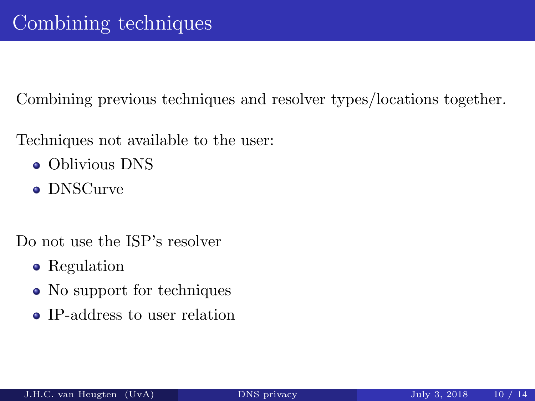Combining previous techniques and resolver types/locations together.

Techniques not available to the user:

- Oblivious DNS
- DNSCurve

Do not use the ISP's resolver

- Regulation
- No support for techniques
- IP-address to user relation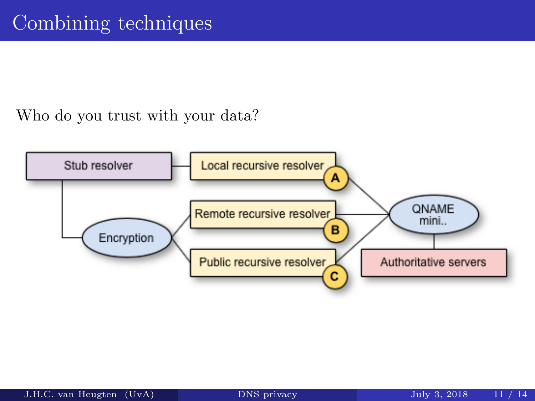Who do you trust with your data?

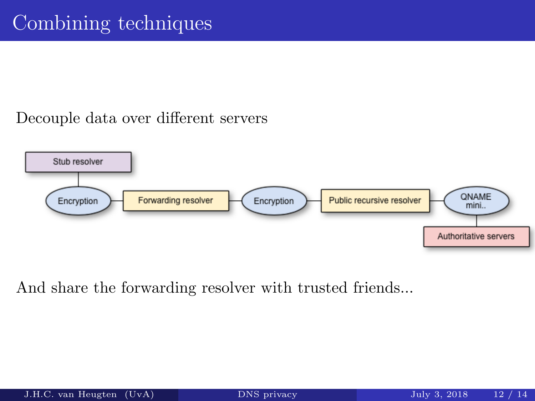#### Decouple data over different servers



And share the forwarding resolver with trusted friends...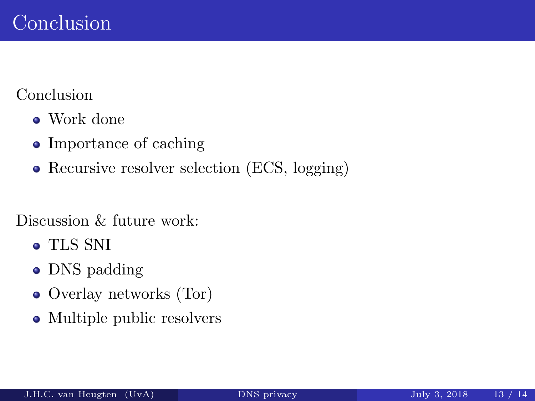#### Conclusion

- Work done
- Importance of caching
- Recursive resolver selection (ECS, logging)

#### Discussion & future work:

- TLS SNI
- DNS padding
- Overlay networks (Tor)
- Multiple public resolvers